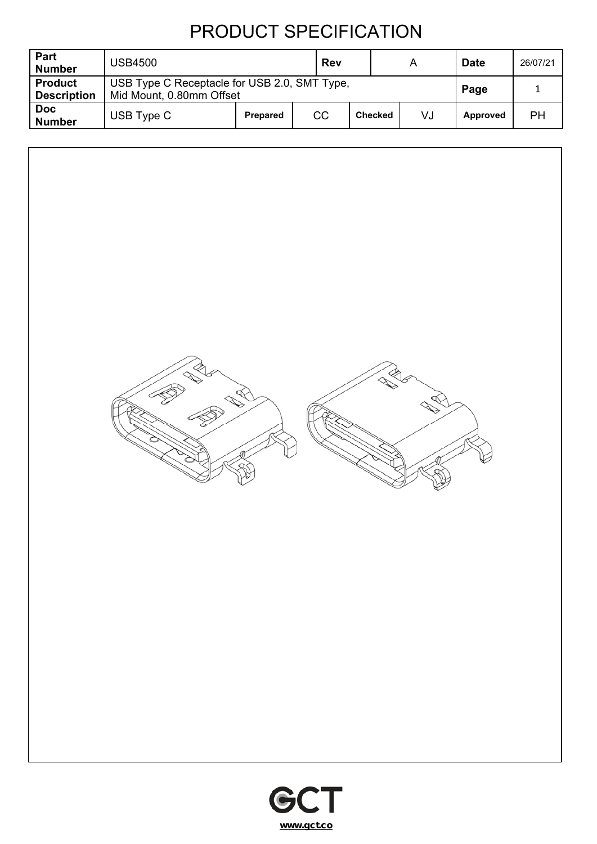| Part<br><b>Number</b>                | <b>USB4500</b> |                                                                          |    |                | A  | <b>Date</b> | 26/07/21 |
|--------------------------------------|----------------|--------------------------------------------------------------------------|----|----------------|----|-------------|----------|
| <b>Product</b><br><b>Description</b> |                | USB Type C Receptacle for USB 2.0, SMT Type,<br>Mid Mount, 0.80mm Offset |    |                |    | Page        |          |
| <b>Doc</b><br><b>Number</b>          | USB Type C     | <b>Prepared</b>                                                          | CC | <b>Checked</b> | VJ | Approved    | PH       |



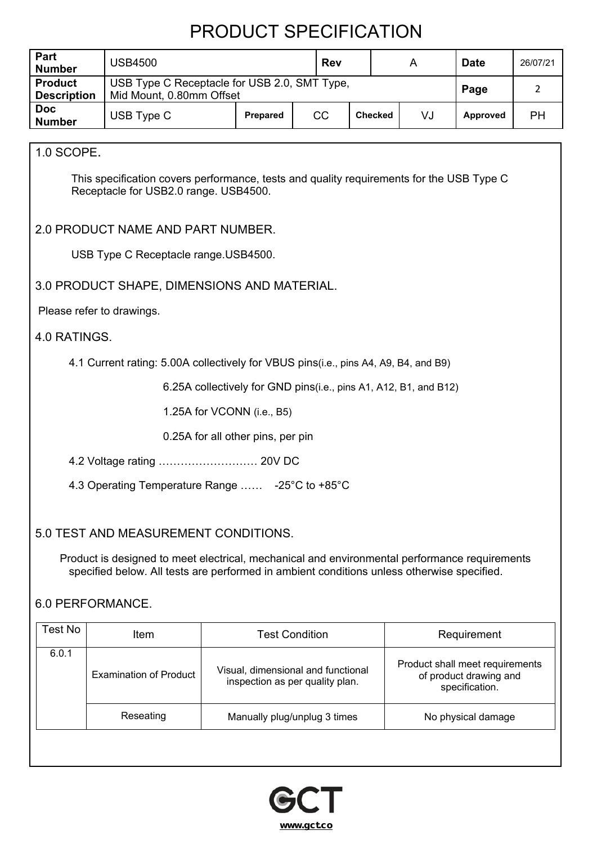| Part<br><b>Number</b>                | <b>USB4500</b>                                                                                                                                                                                                                      |                                                                  | <b>Rev</b>                                                                                                                                           |                |  | A  | <b>Date</b>        | 26/07/21       |
|--------------------------------------|-------------------------------------------------------------------------------------------------------------------------------------------------------------------------------------------------------------------------------------|------------------------------------------------------------------|------------------------------------------------------------------------------------------------------------------------------------------------------|----------------|--|----|--------------------|----------------|
| <b>Product</b><br><b>Description</b> | USB Type C Receptacle for USB 2.0, SMT Type,<br>Mid Mount, 0.80mm Offset                                                                                                                                                            |                                                                  |                                                                                                                                                      |                |  |    | Page               | $\overline{2}$ |
| <b>Doc</b><br><b>Number</b>          | USB Type C                                                                                                                                                                                                                          | Prepared                                                         | CC                                                                                                                                                   | <b>Checked</b> |  | VJ | Approved           | PH             |
|                                      |                                                                                                                                                                                                                                     |                                                                  |                                                                                                                                                      |                |  |    |                    |                |
| 1.0 SCOPE.                           |                                                                                                                                                                                                                                     |                                                                  |                                                                                                                                                      |                |  |    |                    |                |
|                                      | This specification covers performance, tests and quality requirements for the USB Type C<br>Receptacle for USB2.0 range. USB4500.                                                                                                   |                                                                  |                                                                                                                                                      |                |  |    |                    |                |
|                                      | 2.0 PRODUCT NAME AND PART NUMBER.                                                                                                                                                                                                   |                                                                  |                                                                                                                                                      |                |  |    |                    |                |
|                                      | USB Type C Receptacle range.USB4500.                                                                                                                                                                                                |                                                                  |                                                                                                                                                      |                |  |    |                    |                |
|                                      | 3.0 PRODUCT SHAPE, DIMENSIONS AND MATERIAL.                                                                                                                                                                                         |                                                                  |                                                                                                                                                      |                |  |    |                    |                |
|                                      | Please refer to drawings.                                                                                                                                                                                                           |                                                                  |                                                                                                                                                      |                |  |    |                    |                |
| 4.0 RATINGS.                         |                                                                                                                                                                                                                                     |                                                                  |                                                                                                                                                      |                |  |    |                    |                |
|                                      | 4.1 Current rating: 5.00A collectively for VBUS pins(i.e., pins A4, A9, B4, and B9)                                                                                                                                                 |                                                                  |                                                                                                                                                      |                |  |    |                    |                |
|                                      |                                                                                                                                                                                                                                     | 6.25A collectively for GND pins(i.e., pins A1, A12, B1, and B12) |                                                                                                                                                      |                |  |    |                    |                |
|                                      |                                                                                                                                                                                                                                     | 1.25A for VCONN (i.e., B5)                                       |                                                                                                                                                      |                |  |    |                    |                |
|                                      |                                                                                                                                                                                                                                     | 0.25A for all other pins, per pin                                |                                                                                                                                                      |                |  |    |                    |                |
|                                      | 4.2 Voltage rating  20V DC                                                                                                                                                                                                          |                                                                  |                                                                                                                                                      |                |  |    |                    |                |
|                                      | 4.3 Operating Temperature Range  -25°C to +85°C                                                                                                                                                                                     |                                                                  |                                                                                                                                                      |                |  |    |                    |                |
|                                      | 5.0 TEST AND MEASUREMENT CONDITIONS.<br>Product is designed to meet electrical, mechanical and environmental performance requirements<br>specified below. All tests are performed in ambient conditions unless otherwise specified. |                                                                  |                                                                                                                                                      |                |  |    |                    |                |
| <b>Test No</b>                       | 6.0 PERFORMANCE.                                                                                                                                                                                                                    |                                                                  |                                                                                                                                                      |                |  |    |                    |                |
|                                      | Item                                                                                                                                                                                                                                |                                                                  | <b>Test Condition</b>                                                                                                                                |                |  |    | Requirement        |                |
| 6.0.1                                | <b>Examination of Product</b>                                                                                                                                                                                                       |                                                                  | Product shall meet requirements<br>Visual, dimensional and functional<br>of product drawing and<br>inspection as per quality plan.<br>specification. |                |  |    |                    |                |
|                                      | Reseating                                                                                                                                                                                                                           | Manually plug/unplug 3 times                                     |                                                                                                                                                      |                |  |    | No physical damage |                |
|                                      |                                                                                                                                                                                                                                     |                                                                  |                                                                                                                                                      |                |  |    |                    |                |

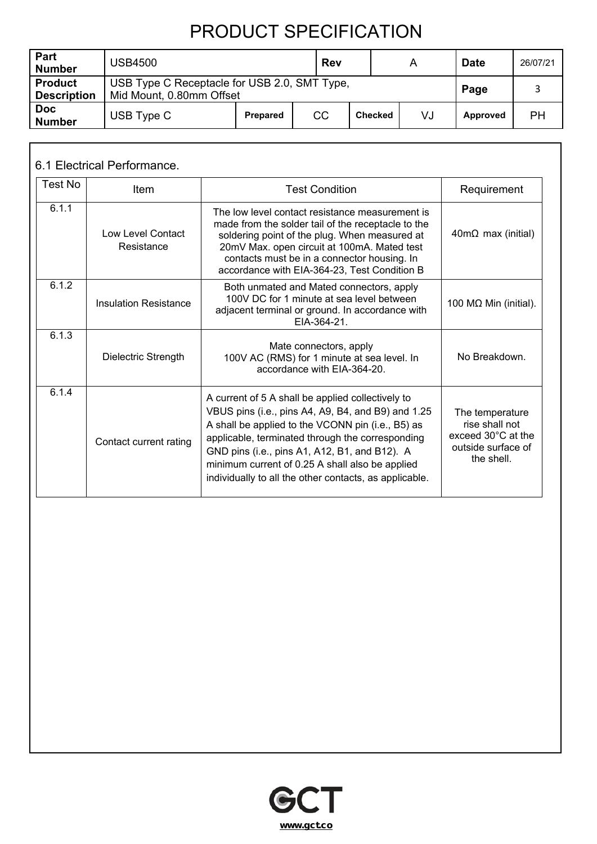| Part<br><b>Number</b>                | <b>USB4500</b>                                                           |                 | <b>Rev</b> |                | A    | <b>Date</b> | 26/07/21 |
|--------------------------------------|--------------------------------------------------------------------------|-----------------|------------|----------------|------|-------------|----------|
| <b>Product</b><br><b>Description</b> | USB Type C Receptacle for USB 2.0, SMT Type,<br>Mid Mount, 0.80mm Offset |                 |            |                | Page |             |          |
| <b>Doc</b><br><b>Number</b>          | USB Type C                                                               | <b>Prepared</b> | CC         | <b>Checked</b> | VJ   | Approved    | PН       |

#### 6.1 Electrical Performance.

| Test No | ltem                            | <b>Test Condition</b>                                                                                                                                                                                                                                                                                                                                                          | Requirement                                                                                           |
|---------|---------------------------------|--------------------------------------------------------------------------------------------------------------------------------------------------------------------------------------------------------------------------------------------------------------------------------------------------------------------------------------------------------------------------------|-------------------------------------------------------------------------------------------------------|
| 6.1.1   | Low Level Contact<br>Resistance | The low level contact resistance measurement is<br>made from the solder tail of the receptacle to the<br>soldering point of the plug. When measured at<br>20mV Max. open circuit at 100mA. Mated test<br>contacts must be in a connector housing. In<br>accordance with EIA-364-23, Test Condition B                                                                           | $40m\Omega$ max (initial)                                                                             |
| 6.1.2   | <b>Insulation Resistance</b>    | Both unmated and Mated connectors, apply<br>100V DC for 1 minute at sea level between<br>adjacent terminal or ground. In accordance with<br>EIA-364-21.                                                                                                                                                                                                                        | 100 MΩ Min (initial).                                                                                 |
| 6.1.3   | Dielectric Strength             | Mate connectors, apply<br>100V AC (RMS) for 1 minute at sea level. In<br>accordance with EIA-364-20.                                                                                                                                                                                                                                                                           | No Breakdown.                                                                                         |
| 6.1.4   | Contact current rating          | A current of 5 A shall be applied collectively to<br>VBUS pins (i.e., pins A4, A9, B4, and B9) and 1.25<br>A shall be applied to the VCONN pin (i.e., B5) as<br>applicable, terminated through the corresponding<br>GND pins (i.e., pins A1, A12, B1, and B12). A<br>minimum current of 0.25 A shall also be applied<br>individually to all the other contacts, as applicable. | The temperature<br>rise shall not<br>exceed $30^{\circ}$ C at the<br>outside surface of<br>the shell. |

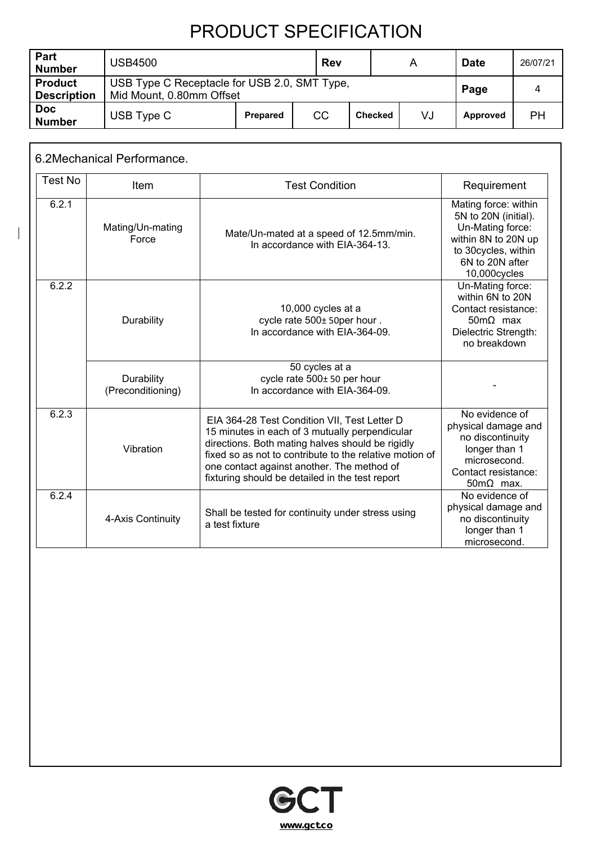| Part<br><b>Number</b>                | <b>USB4500</b> |                                                                          | Rev       |                | А  | <b>Date</b> | 26/07/21 |
|--------------------------------------|----------------|--------------------------------------------------------------------------|-----------|----------------|----|-------------|----------|
| <b>Product</b><br><b>Description</b> |                | USB Type C Receptacle for USB 2.0, SMT Type,<br>Mid Mount, 0.80mm Offset |           |                |    | Page        |          |
| <b>Doc</b><br><b>Number</b>          | USB Type C     | <b>Prepared</b>                                                          | <b>CC</b> | <b>Checked</b> | VJ | Approved    | PН       |

|                | 6.2Mechanical Performance.      |                                                                                                                                                                                                                                                                                                                |                                                                                                                                                   |
|----------------|---------------------------------|----------------------------------------------------------------------------------------------------------------------------------------------------------------------------------------------------------------------------------------------------------------------------------------------------------------|---------------------------------------------------------------------------------------------------------------------------------------------------|
| <b>Test No</b> | Item                            | <b>Test Condition</b>                                                                                                                                                                                                                                                                                          | Requirement                                                                                                                                       |
| 6.2.1          | Mating/Un-mating<br>Force       | Mate/Un-mated at a speed of 12.5mm/min.<br>In accordance with EIA-364-13.                                                                                                                                                                                                                                      | Mating force: within<br>5N to 20N (initial).<br>Un-Mating force:<br>within 8N to 20N up<br>to 30cycles, within<br>6N to 20N after<br>10,000cycles |
| 6.2.2          | Durability                      | 10,000 cycles at a<br>cycle rate 500± 50per hour.<br>In accordance with EIA-364-09.                                                                                                                                                                                                                            | Un-Mating force:<br>within 6N to 20N<br>Contact resistance:<br>$50 \text{m}\Omega$ max<br>Dielectric Strength:<br>no breakdown                    |
|                | Durability<br>(Preconditioning) | 50 cycles at a<br>cycle rate 500± 50 per hour<br>In accordance with EIA-364-09.                                                                                                                                                                                                                                |                                                                                                                                                   |
| 6.2.3          | Vibration                       | EIA 364-28 Test Condition VII, Test Letter D<br>15 minutes in each of 3 mutually perpendicular<br>directions. Both mating halves should be rigidly<br>fixed so as not to contribute to the relative motion of<br>one contact against another. The method of<br>fixturing should be detailed in the test report | No evidence of<br>physical damage and<br>no discontinuity<br>longer than 1<br>microsecond.<br>Contact resistance:<br>$50 \text{m}\Omega$ max.     |
| 6.2.4          | 4-Axis Continuity               | Shall be tested for continuity under stress using<br>a test fixture                                                                                                                                                                                                                                            | No evidence of<br>physical damage and<br>no discontinuity<br>longer than 1<br>microsecond.                                                        |

 $\overline{\phantom{a}}$ 

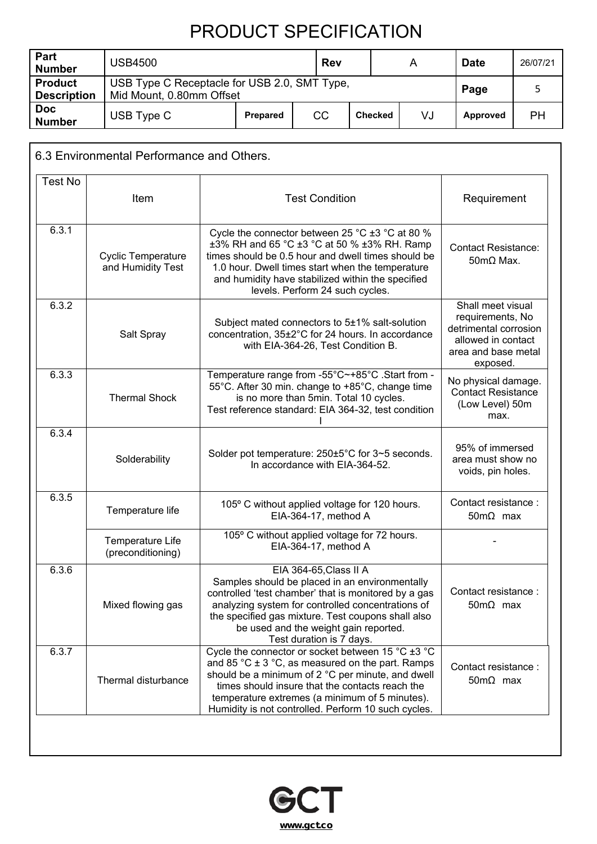| Part<br><b>Number</b>                | <b>USB4500</b> |                                                                          | Rev       |                | A  | <b>Date</b> | 26/07/21 |
|--------------------------------------|----------------|--------------------------------------------------------------------------|-----------|----------------|----|-------------|----------|
| <b>Product</b><br><b>Description</b> |                | USB Type C Receptacle for USB 2.0, SMT Type,<br>Mid Mount, 0.80mm Offset |           |                |    | Page        |          |
| <b>Doc</b><br><b>Number</b>          | USB Type C     | Prepared                                                                 | <b>CC</b> | <b>Checked</b> | VJ | Approved    | PН       |

| <b>Test No</b> |                                                |                                                                                                                                                                                                                                                                                                                            |                                                                                                                         |
|----------------|------------------------------------------------|----------------------------------------------------------------------------------------------------------------------------------------------------------------------------------------------------------------------------------------------------------------------------------------------------------------------------|-------------------------------------------------------------------------------------------------------------------------|
|                | Item                                           | <b>Test Condition</b>                                                                                                                                                                                                                                                                                                      | Requirement                                                                                                             |
| 6.3.1          | <b>Cyclic Temperature</b><br>and Humidity Test | Cycle the connector between 25 °C $\pm$ 3 °C at 80 %<br>±3% RH and 65 °C ±3 °C at 50 % ±3% RH. Ramp<br>times should be 0.5 hour and dwell times should be<br>1.0 hour. Dwell times start when the temperature<br>and humidity have stabilized within the specified<br>levels. Perform 24 such cycles.                      | <b>Contact Resistance:</b><br>$50 \text{m}\Omega$ Max.                                                                  |
| 6.3.2          | Salt Spray                                     | Subject mated connectors to 5±1% salt-solution<br>concentration, 35±2°C for 24 hours. In accordance<br>with EIA-364-26, Test Condition B.                                                                                                                                                                                  | Shall meet visual<br>requirements, No<br>detrimental corrosion<br>allowed in contact<br>area and base metal<br>exposed. |
| 6.3.3          | <b>Thermal Shock</b>                           | Temperature range from -55°C~+85°C .Start from -<br>55°C. After 30 min. change to +85°C, change time<br>is no more than 5min. Total 10 cycles.<br>Test reference standard: EIA 364-32, test condition                                                                                                                      | No physical damage.<br><b>Contact Resistance</b><br>(Low Level) 50m<br>max.                                             |
| 6.3.4          | Solderability                                  | Solder pot temperature: 250±5°C for 3~5 seconds.<br>In accordance with EIA-364-52.                                                                                                                                                                                                                                         | 95% of immersed<br>area must show no<br>voids, pin holes.                                                               |
| 6.3.5          | Temperature life                               | 105° C without applied voltage for 120 hours.<br>EIA-364-17, method A                                                                                                                                                                                                                                                      | Contact resistance:<br>$50 \text{m}\Omega$ max                                                                          |
|                | Temperature Life<br>(preconditioning)          | 105° C without applied voltage for 72 hours.<br>EIA-364-17, method A                                                                                                                                                                                                                                                       |                                                                                                                         |
| 6.3.6          | Mixed flowing gas                              | EIA 364-65, Class II A<br>Samples should be placed in an environmentally<br>controlled 'test chamber' that is monitored by a gas<br>analyzing system for controlled concentrations of<br>the specified gas mixture. Test coupons shall also<br>be used and the weight gain reported.<br>Test duration is 7 days.           | Contact resistance:<br>$50 \text{m}\Omega$ max                                                                          |
| 6.3.7          | Thermal disturbance                            | Cycle the connector or socket between 15 °C ±3 °C<br>and 85 °C $\pm$ 3 °C, as measured on the part. Ramps<br>should be a minimum of 2 °C per minute, and dwell<br>times should insure that the contacts reach the<br>temperature extremes (a minimum of 5 minutes).<br>Humidity is not controlled. Perform 10 such cycles. | Contact resistance:<br>$50 \text{m}\Omega$ max                                                                          |

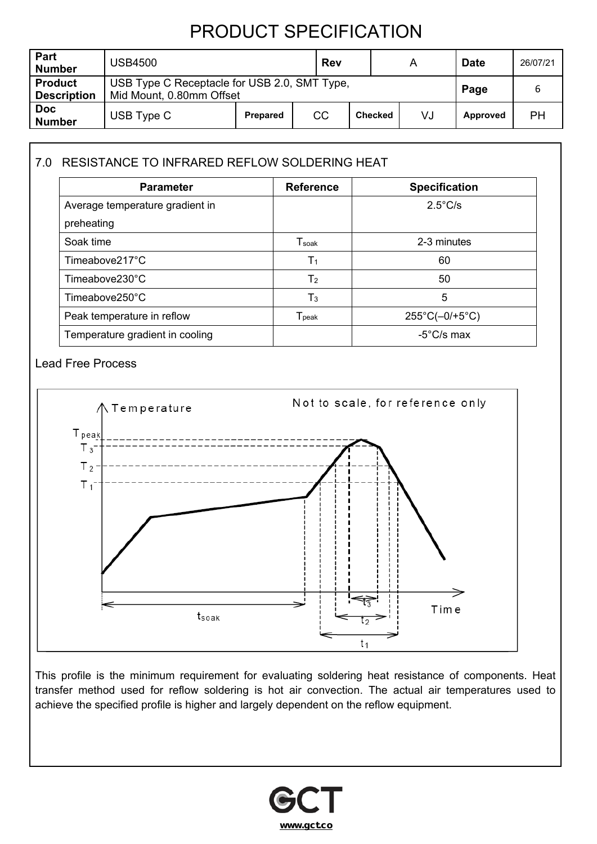| Part<br><b>Number</b>                | <b>USB4500</b> |                                                                          | <b>Rev</b> |  | А | <b>Date</b> | 26/07/21 |
|--------------------------------------|----------------|--------------------------------------------------------------------------|------------|--|---|-------------|----------|
| <b>Product</b><br><b>Description</b> |                | USB Type C Receptacle for USB 2.0, SMT Type,<br>Mid Mount, 0.80mm Offset |            |  |   | Page        |          |
| <b>Doc</b><br><b>Number</b>          | USB Type C     | CC<br>VJ<br><b>Checked</b><br><b>Prepared</b>                            |            |  |   | Approved    | PН       |

### 7.0 RESISTANCE TO INFRARED REFLOW SOLDERING HEAT

| <b>Parameter</b>                | <b>Reference</b>             | <b>Specification</b>           |
|---------------------------------|------------------------------|--------------------------------|
| Average temperature gradient in |                              | $2.5^{\circ}$ C/s              |
| preheating                      |                              |                                |
| Soak time                       | $\mathsf{T}_{\mathsf{soak}}$ | 2-3 minutes                    |
| Timeabove217°C                  | T <sub>1</sub>               | 60                             |
| $Time above 230^{\circ}$ C      | T <sub>2</sub>               | 50                             |
| Timeabove250°C                  | $T_3$                        | 5                              |
| Peak temperature in reflow      | $\mathsf{T}_{\mathsf{peak}}$ | $255^{\circ}C(-0/+5^{\circ}C)$ |
| Temperature gradient in cooling |                              | $-5^{\circ}$ C/s max           |

#### Lead Free Process



This profile is the minimum requirement for evaluating soldering heat resistance of components. Heat transfer method used for reflow soldering is hot air convection. The actual air temperatures used to achieve the specified profile is higher and largely dependent on the reflow equipment.

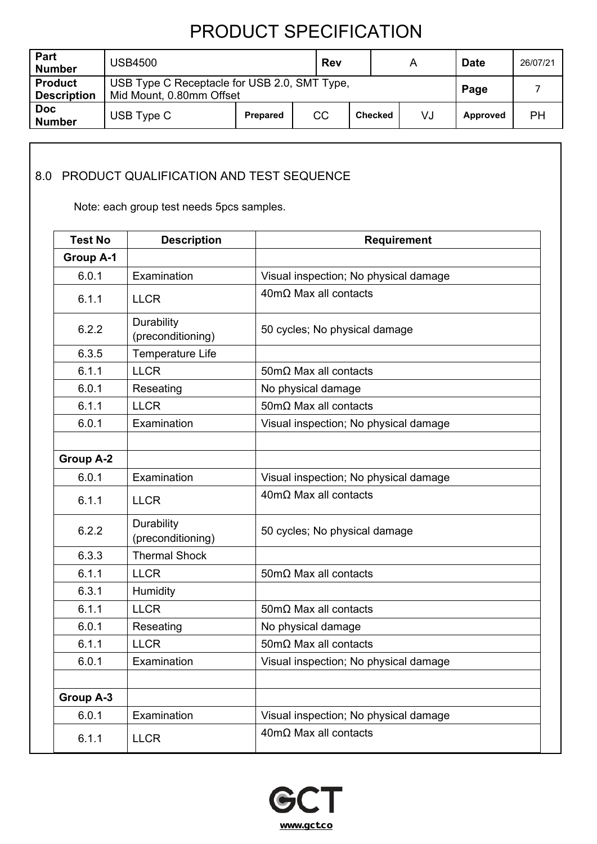| Part<br><b>Number</b>                | <b>USB4500</b>                                                           |                 |    |                | А  | <b>Date</b>     | 26/07/21 |
|--------------------------------------|--------------------------------------------------------------------------|-----------------|----|----------------|----|-----------------|----------|
| <b>Product</b><br><b>Description</b> | USB Type C Receptacle for USB 2.0, SMT Type,<br>Mid Mount, 0.80mm Offset |                 |    |                |    | Page            |          |
| <b>Doc</b><br><b>Number</b>          | USB Type C                                                               | <b>Prepared</b> | CC | <b>Checked</b> | VJ | <b>Approved</b> | PН       |

### 8.0 PRODUCT QUALIFICATION AND TEST SEQUENCE

Note: each group test needs 5pcs samples.

| <b>Test No</b>   | <b>Description</b>              | <b>Requirement</b>                    |
|------------------|---------------------------------|---------------------------------------|
| <b>Group A-1</b> |                                 |                                       |
| 6.0.1            | Examination                     | Visual inspection; No physical damage |
| 6.1.1            | <b>LLCR</b>                     | $40 \text{m}\Omega$ Max all contacts  |
| 6.2.2            | Durability<br>(preconditioning) | 50 cycles; No physical damage         |
| 6.3.5            | <b>Temperature Life</b>         |                                       |
| 6.1.1            | <b>LLCR</b>                     | $50 \text{m}\Omega$ Max all contacts  |
| 6.0.1            | Reseating                       | No physical damage                    |
| 6.1.1            | <b>LLCR</b>                     | $50 \text{m}\Omega$ Max all contacts  |
| 6.0.1            | Examination                     | Visual inspection; No physical damage |
|                  |                                 |                                       |
| <b>Group A-2</b> |                                 |                                       |
| 6.0.1            | Examination                     | Visual inspection; No physical damage |
| 6.1.1            | <b>LLCR</b>                     | $40 \text{m}\Omega$ Max all contacts  |
| 6.2.2            | Durability<br>(preconditioning) | 50 cycles; No physical damage         |
| 6.3.3            | <b>Thermal Shock</b>            |                                       |
| 6.1.1            | <b>LLCR</b>                     | $50 \text{m}\Omega$ Max all contacts  |
| 6.3.1            | Humidity                        |                                       |
| 6.1.1            | <b>LLCR</b>                     | $50 \text{m}\Omega$ Max all contacts  |
| 6.0.1            | Reseating                       | No physical damage                    |
| 6.1.1            | <b>LLCR</b>                     | $50 \text{m}\Omega$ Max all contacts  |
| 6.0.1            | Examination                     | Visual inspection; No physical damage |
|                  |                                 |                                       |
| <b>Group A-3</b> |                                 |                                       |
| 6.0.1            | Examination                     | Visual inspection; No physical damage |
| 6.1.1            | <b>LLCR</b>                     | $40 \text{m}\Omega$ Max all contacts  |

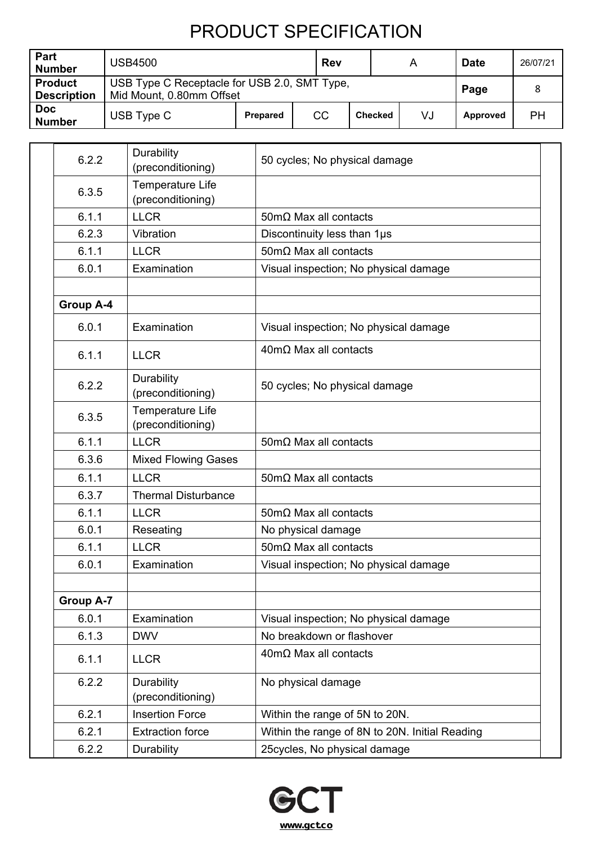| Part<br><b>Number</b>                | <b>USB4500</b>                                                           |                 | Rev |                | A  | <b>Date</b>     | 26/07/21 |
|--------------------------------------|--------------------------------------------------------------------------|-----------------|-----|----------------|----|-----------------|----------|
| <b>Product</b><br><b>Description</b> | USB Type C Receptacle for USB 2.0, SMT Type,<br>Mid Mount, 0.80mm Offset |                 |     | Page           |    |                 |          |
| <b>Doc</b><br><b>Number</b>          | USB Type C                                                               | <b>Prepared</b> | CC  | <b>Checked</b> | VJ | <b>Approved</b> | PH       |

| 6.2.2            | Durability<br>(preconditioning)              | 50 cycles; No physical damage                  |  |
|------------------|----------------------------------------------|------------------------------------------------|--|
| 6.3.5            | Temperature Life<br>(preconditioning)        |                                                |  |
| 6.1.1            | <b>LLCR</b>                                  | $50 \text{m}\Omega$ Max all contacts           |  |
| 6.2.3            | Vibration                                    | Discontinuity less than 1µs                    |  |
| 6.1.1            | <b>LLCR</b>                                  | $50 \text{m}\Omega$ Max all contacts           |  |
| 6.0.1            | Examination                                  | Visual inspection; No physical damage          |  |
|                  |                                              |                                                |  |
| <b>Group A-4</b> |                                              |                                                |  |
| 6.0.1            | Examination                                  | Visual inspection; No physical damage          |  |
| 6.1.1            | <b>LLCR</b>                                  | $40 \text{m}\Omega$ Max all contacts           |  |
| 6.2.2            | Durability<br>(preconditioning)              | 50 cycles; No physical damage                  |  |
| 6.3.5            | <b>Temperature Life</b><br>(preconditioning) |                                                |  |
| 6.1.1            | <b>LLCR</b>                                  | $50 \text{m}\Omega$ Max all contacts           |  |
| 6.3.6            | <b>Mixed Flowing Gases</b>                   |                                                |  |
| 6.1.1            | <b>LLCR</b>                                  | $50 \text{m}\Omega$ Max all contacts           |  |
| 6.3.7            | <b>Thermal Disturbance</b>                   |                                                |  |
| 6.1.1            | <b>LLCR</b>                                  | $50 \text{m}\Omega$ Max all contacts           |  |
| 6.0.1            | Reseating                                    | No physical damage                             |  |
| 6.1.1            | <b>LLCR</b>                                  | $50 \text{m}\Omega$ Max all contacts           |  |
| 6.0.1            | Examination                                  | Visual inspection; No physical damage          |  |
|                  |                                              |                                                |  |
| <b>Group A-7</b> |                                              |                                                |  |
| 6.0.1            | Examination                                  | Visual inspection; No physical damage          |  |
| 6.1.3            | <b>DWV</b>                                   | No breakdown or flashover                      |  |
| 6.1.1            | <b>LLCR</b>                                  | $40 \text{m}\Omega$ Max all contacts           |  |
| 6.2.2            | Durability<br>(preconditioning)              | No physical damage                             |  |
| 6.2.1            | <b>Insertion Force</b>                       | Within the range of 5N to 20N.                 |  |
| 6.2.1            | <b>Extraction force</b>                      | Within the range of 8N to 20N. Initial Reading |  |
| 6.2.2            | Durability                                   | 25 cycles, No physical damage                  |  |

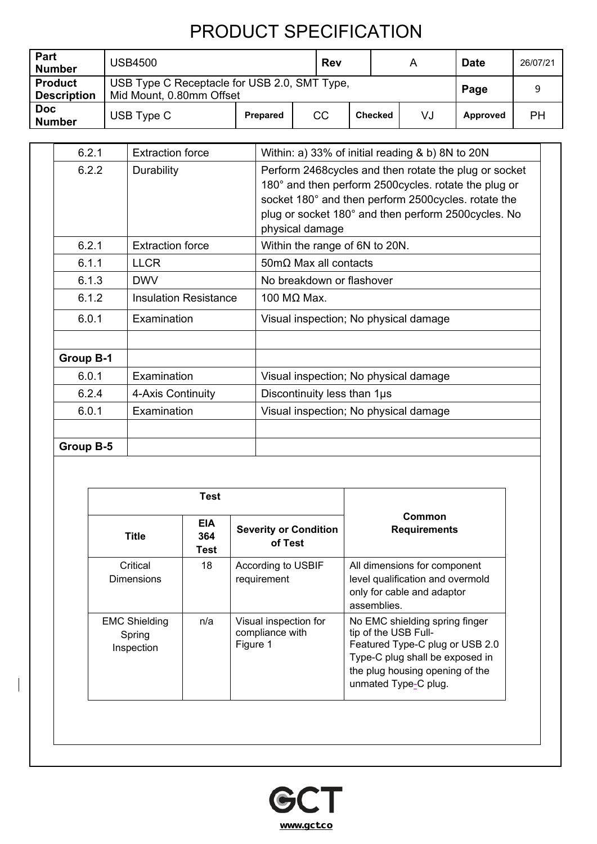| Part<br><b>Number</b>                | <b>USB4500</b>                                                           |                 | Rev |                | A  | <b>Date</b> | 26/07/21 |
|--------------------------------------|--------------------------------------------------------------------------|-----------------|-----|----------------|----|-------------|----------|
| <b>Product</b><br><b>Description</b> | USB Type C Receptacle for USB 2.0, SMT Type,<br>Mid Mount, 0.80mm Offset |                 |     | Page           |    |             |          |
| <b>Doc</b><br><b>Number</b>          | USB Type C                                                               | <b>Prepared</b> | CC  | <b>Checked</b> | VJ | Approved    | PH       |

| 6.2.1            | <b>Extraction force</b>      | Within: a) 33% of initial reading & b) 8N to 20N                                                                                                                                                                                                  |
|------------------|------------------------------|---------------------------------------------------------------------------------------------------------------------------------------------------------------------------------------------------------------------------------------------------|
| 6.2.2            | Durability                   | Perform 2468 cycles and then rotate the plug or socket<br>180° and then perform 2500 cycles. rotate the plug or<br>socket 180° and then perform 2500cycles. rotate the<br>plug or socket 180° and then perform 2500 cycles. No<br>physical damage |
| 6.2.1            | <b>Extraction force</b>      | Within the range of 6N to 20N.                                                                                                                                                                                                                    |
| 6.1.1            | <b>LLCR</b>                  | $50 \text{m}\Omega$ Max all contacts                                                                                                                                                                                                              |
| 6.1.3            | <b>DWV</b>                   | No breakdown or flashover                                                                                                                                                                                                                         |
| 6.1.2            | <b>Insulation Resistance</b> | 100 $MΩ$ Max.                                                                                                                                                                                                                                     |
| 6.0.1            | Examination                  | Visual inspection; No physical damage                                                                                                                                                                                                             |
| <b>Group B-1</b> |                              |                                                                                                                                                                                                                                                   |
| 6.0.1            | Examination                  | Visual inspection; No physical damage                                                                                                                                                                                                             |
| 6.2.4            | 4-Axis Continuity            | Discontinuity less than 1µs                                                                                                                                                                                                                       |
| 6.0.1            | Examination                  | Visual inspection; No physical damage                                                                                                                                                                                                             |
| Group B-5        |                              |                                                                                                                                                                                                                                                   |

|                                              | Test |                                                      |                                                                                                                                                                                         |  |
|----------------------------------------------|------|------------------------------------------------------|-----------------------------------------------------------------------------------------------------------------------------------------------------------------------------------------|--|
| <b>EIA</b><br><b>Title</b><br>364<br>Test    |      | <b>Severity or Condition</b><br>of Test              | Common<br><b>Requirements</b>                                                                                                                                                           |  |
| Critical<br>Dimensions                       | 18   | According to USBIF<br>requirement                    | All dimensions for component<br>level qualification and overmold<br>only for cable and adaptor<br>assemblies.                                                                           |  |
| <b>EMC Shielding</b><br>Spring<br>Inspection | n/a  | Visual inspection for<br>compliance with<br>Figure 1 | No EMC shielding spring finger<br>tip of the USB Full-<br>Featured Type-C plug or USB 2.0<br>Type-C plug shall be exposed in<br>the plug housing opening of the<br>unmated Type-C plug. |  |

 $\overline{\phantom{a}}$ 

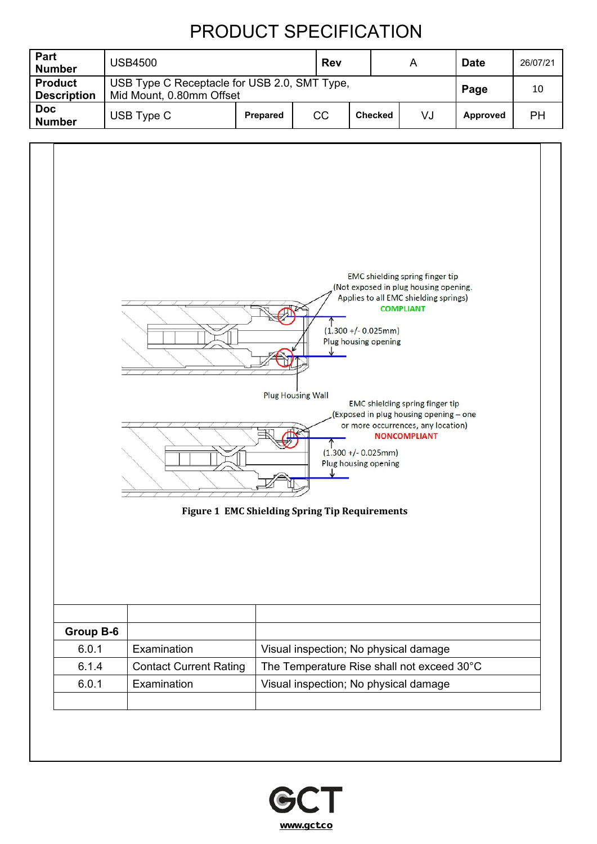| Part<br><b>Number</b>                | <b>USB4500</b>                                                           |                 | <b>Rev</b> |                | A  | <b>Date</b> | 26/07/21 |
|--------------------------------------|--------------------------------------------------------------------------|-----------------|------------|----------------|----|-------------|----------|
| <b>Product</b><br><b>Description</b> | USB Type C Receptacle for USB 2.0, SMT Type,<br>Mid Mount, 0.80mm Offset |                 |            | Page           | 10 |             |          |
| <b>Doc</b><br><b>Number</b>          | USB Type C                                                               | <b>Prepared</b> | CC         | <b>Checked</b> | VJ | Approved    | PН       |